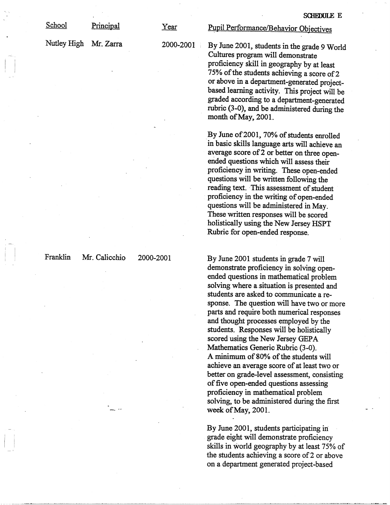School Principal

Nutley High Mr. Zarra

Year

Pupil Performance/Behavior Objectives

2000-2001 By June 2001, students in the grade 9 World Cultures program will demonstrate proficiency skill in geography by at least 75% of the students achieving a score of 2 or above in a department-generated projectbased learning activity. This project will be graded according to a department-generated rubric (3-0), and be administered during the month of May, 2001.

> By June of 2001, 70% of students enrolled in basic skills language arts will achieve an average score of 2 or better on three openended questions which will assess their proficiency in writing. These open-ended questions will be written following the reading text. This assessment of student proficiency in the writing of open-ended questions will be administered in May. These written responses will be scored holistically using the New Jersey HSPT Rubric for open-ended response.

Franklin Mr. Calicchio 2000-2001 By June 2001 students in grade 7 will demonstrate proficiency in solving openended questions in mathematical problem solving where a situation is presented and students are asked to communicate a response. The question will have two or more parts and require both numerical responses and thought processes employed by the students. Responses will be holistically scored using the New Jersey GEPA Mathematics Generic Rubric (3-0). A minimum of 80% of the students will achieve an average score of at least two or better on grade-level assessment, consisting of five open-ended questions assessing proficiency in mathematical problem solving, to be administered during the first week of May, 2001.

> By June 2001, students participating in grade eight will demonstrate proficiency skills in world geography by at least 75% of the students achieving a score of 2 or above on a department generated project-based

 $\left| \begin{array}{c} \hline \hline \hline \hline \hline \hline \end{array} \right|$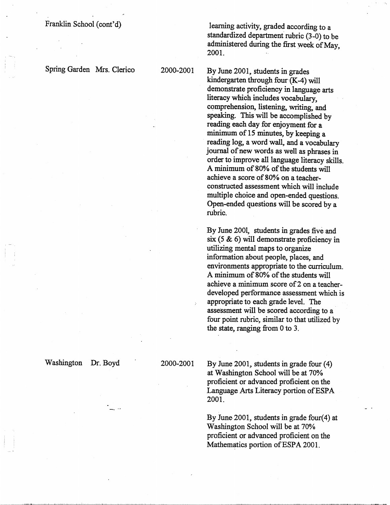Franklin School (cont'd)

Spring Garden Mrs. Clerico

learning activity, graded according to a standardized department rubric (3-0) to be administered during the first week of May, 2001.

2000-2001 By June 2001, students in grades kindergarten through four $(K-4)$  will demonstrate proficiency in language arts literacy which includes vocabulary, comprehension, listening, writing, and speaking. This will be accomplished by reading each day for enjoyment for a minimum of 15 minutes, by keeping a reading log, a word wall, and a vocabulary journal of new words as well as phrases in order to improve all language literacy skills. A minimum of 80% of the students will achieve a score of 80% on a teacherconstructed assessment which will include multiple choice and open-ended questions. Open-ended questions will be scored by a rubric.

> By June 2001, students in grades five and six (5 & 6) will demonstrate proficiency in utilizing mental maps to organize information about people, places, and environments appropriate to the curriculum. A minimum of 80% of the students will achieve a minimum score of 2 on a teacherdeveloped performance assessment which is appropriate to each grade level. The assessment will be scored according to a four point rubric, similar to that utilized by the state, ranging from O to 3.

Washington Dr. Boyd

2000-2001 By June 2001, students in grade four (4) at Washington School will be at 70% proficient or advanced proficient on the Language Arts Literacy portion ofESPA 2001.

> By June-2001, students in grade four(4) at Washington School will be at 70% proficient or advanced proficient on the Mathematics portion of ESPA 2001.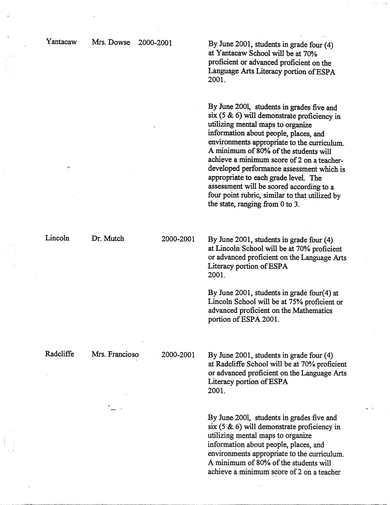Mrs. Dowse 2000-2001 By June 2001, students in grade four (4) at Y antacaw School will be at 70% . proficient or advanced proficient on the Language Arts Literacy portion of ESPA 2001.

> By June 2001, students in grades five and **six** ( *5* & 6) will demonstrate proficiency in utilizing mental maps to organize information about people, places, and environments appropriate to the cuniculum. A minimum of 80% of the students will achieve a minimum score of 2 on a teacherdeveloped performance assessment which.is appropriate to each grade level. The assessment will be scored according to a four point rubric, similar to that utilized by the state, ranging from O to 3.

Lincoln

Dr. Mutch

2000-2001 By June 2001, students in grade four (4) at Lincoln School will be at 70% proficient or advanced proficient on the Language Arts Literacy portion of ESPA 2001.

> By June 2001, students in grade four(4) at Lincoln School will be at 75% proficient or advanced proficient on the Mathematics portion of ESPA 2001.

Radcliffe

Mrs. Francioso

2000-2001 By June 2001, students in grade four (4) at Radcliffe School will be at 70% proficient or advanced proficient on the Language Arts Literacy portion ofESPA 2001.

> By June-2001, students in grades five and  $s$ ix (5  $\&$  6) will demonstrate proficiency in utilizing mental maps to organize information about people, places, and environments appropriate to the curriculum. A minimum of 80% of the students will achieve a minimum score of 2 on a teacher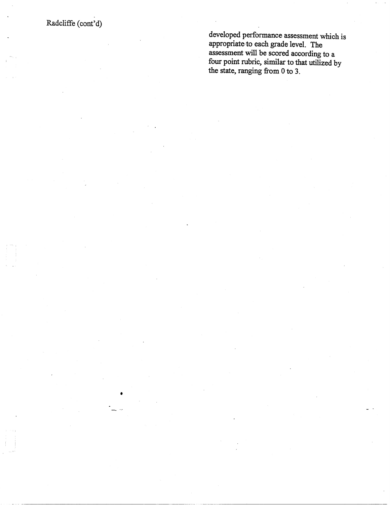Radcliffe (cont'd)

•

developed performance assessment which is appropriate-to each grade level. The assessment will be scored according to a four point rubric, similar to that utilized by the state, ranging from O to 3 .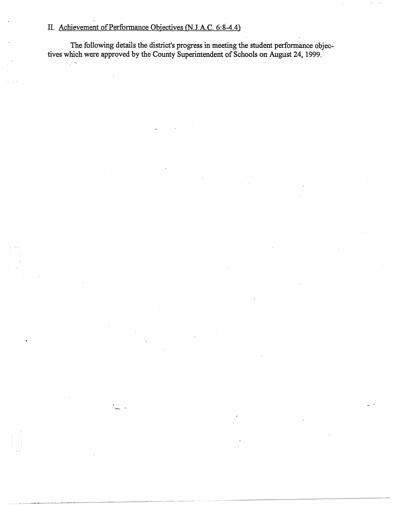# II. Achievement of Performance Objectives (N.J.A.C. 6:8-4.4)

The following details the district's progress in meeting the student performance objectives which were approved by the County Superintendent of Schools on August 24, 1999.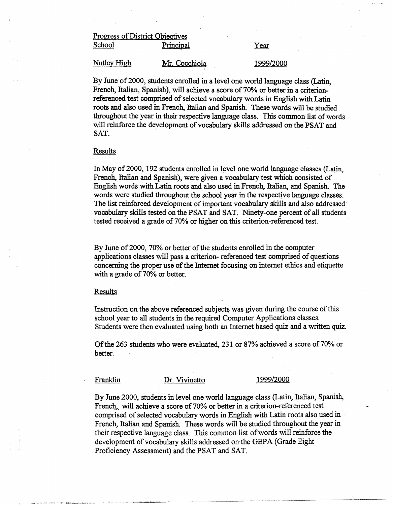# Progress of District Objectives School Principal Year

Nutley High Mr. Cocchiola 1999/2000

By June of 2000, students enrolled in a level one world language class (Latin, French, Italian, Spanish), will achieve a score of 70% or better in a criterionreferenced test comprised of selected vocabulary words in English with Latin roots and also used in French, Italian and Spanish. These words will be studied throughout the year in their respective language class. This common list of words will reinforce the development of vocabulary skills addressed on the PSAT and SAT.

### Results

In May of 2000, 192 students enrolled in level one world language classes (Latin, French, Italian and Spanish), were given a vocabulary test which consisted of English words with Latin roots and also used in French, Italian, and Spanish. The words were studied throughout the school year in the respective language classes. The list reinforced development of important vocabulary skills and also addressed· vocabulary skills tested on the PSAT and SAT. Ninety-one percent of all students tested received a grade of 70% or higher on this criterion-referenced test.

By June of 2000, 70% or better of the students enrolled in the computer applications classes will pass a criterion- referenced test comprised of questions concerning the proper use of the Internet focusing on internet ethics and etiquette with a grade of 70% or better.

### Results

Instruction on the above referenced subjects was given during the course of this school year to all students in the required Computer Applications classes. Students were then evaluated using both an Internet based quiz and a written quiz.

Of the 263 students who were evaluated, 231 or 87% achieved a score of 70% or better.

Franklin Dr. Vivinetto 1999/2000

By June 2000, students in level one world language class (Latin, Italian, Spanish, French, will achieve a score of 70% or better in a criterion-referenced test comprised of selected vocabulary words in English with Latin roots also used in · French, Italian and Spanish. These words will be studied throughout the year in their respective language class. This common list of words will reinforce the development of vocabulary skills addressed onthe GEPA (Grade Eight Proficiency Assessment) and the PSAT and SAT.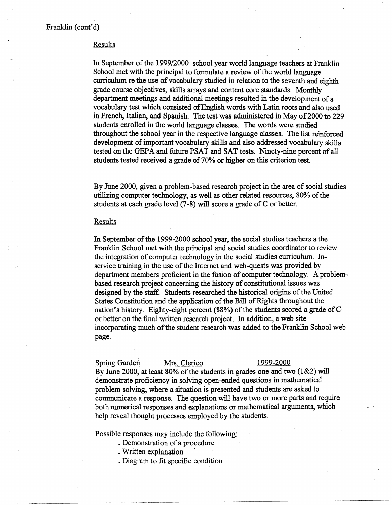## Results

In September of the 1999/2000 school year world language teachers at Franklin School met with the principal to formulate a review of the world language curriculum re the use of vocabulary studied in relation to the seventh and eighth grade course objectives, skills arrays and content core standards. Monthly department meetings and additional meetings resulted in the development of a vocabulary test which consisted of English words with Latin roots and also used in French, Italian, and Spanish. The test was administered in May of 2000 to 229 students enrolled in the world language classes. The words were studied throughout the school year in the respective language classes. The list reinforced development of important vocabulary skills and also addressed vocabulary skills tested on the GEPA and future PSAT and SAT tests. Ninety-nine percent of all students tested received a grade of 70% or higher on this criterion test.

By June 2000, given a problem-based research project in the area of social studies utilizing computer technology, as well as other related resources, 80% of the students at each grade level (7-8) will score a grade of C or better.

# Results

In September of the 1999-2000 school year, the social studies teachers a the Franklin School met with the principal and social studies coordinator to review the integration of computer technology in the social studies curriculum. Inservice training in the use of the Internet and web-quests was provided by department members proficient in the fusion of computer technology. A problembased research project concerning the history of constitutional issues was designed by the staff. Students researched the historical origins of the United States Constitution and the application of the Bill of Rights throughout the nation's history. Eighty-eight percent **(88%)** of the students scored a grade of Cor better on the final written research project. In addition, a web site · incorporating much of the student research was added to the Franklin School web page.

### Spring Garden Mrs. Clerico 1999-2000

By June 2000, at least 80% of the students in grades one and two (1&2) will demonstrate proficiency in solving open-ended questions in mathematical problem solving, where a situation is presented and students are asked to communicate a response. The question will have two or more parts and require both numerical responses and explanations or mathematical arguments, which help reveal thought processes employed by the students.

Possible responses may include the following:

- Demonstration of a procedure
- Written explanation
- . Diagram to fit specific condition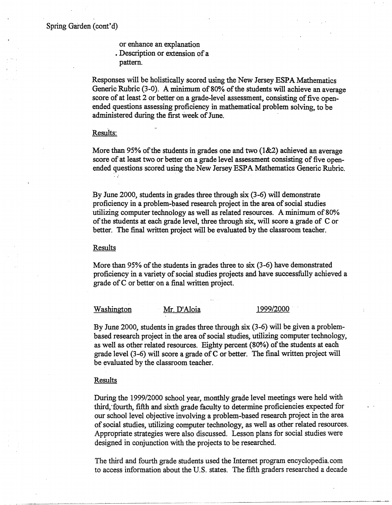or enhance an explanation • Description or extension of a pattern.

Responses will be holistically scored using the New Jersey ESPA Mathematics Generic Rubric (3-0). A minimum of 80% of the students will achieve an average score of at least 2 or better on a grade-level assessment, consisting of five openended questions assessing proficiency in mathematical problem solving, to be administered during the first week of June.

### Results:

More than 95% of the students in grades one and two  $(1\&2)$  achieved an average score of at least two or better on a grade level assessment consisting of five openended questions scored using the New Jersey ESPA Mathematics Generic Rubric.

By June 2000, students in grades three through six (3-6) will demonstrate proficiency in a problem-based research project in the area of social studies utilizing computer technology as well as related resources. A minimum of 80% of the students at each grade level, three through six, will score a grade of C or better. The final written project will be evaluated by the classroom teacher.

### Results

More than 95% of the students in grades three to six (3-6) have demonstrated proficiency in a variety of social studies projects and have successfully achieved a grade of  $C$  or better on a final written project.

### Washington Mr. D'Aloia 1999/2000

By June 2000, students in grades three through six (3-6) will be given a problembased research project in the area of social studies, utilizing computer technology, as well as other related resources. Eighty percent (80%) of the students at each grade level (3-6) will score a grade of C or better. The final written project will be evaluated by the classroom teacher.

# **Results**

During the 1999/2000 school year, monthly.grade level meetings were held with thjrd;fourth, fifth and sixth grade faculty to determine proficiencies expected for our school level objective involving a problem-based research project in the area of social studies, utilizing computer technology, as well as other related resources. Appropriate strategies were also discussed. Lesson plans for social studies were designed in conjunction with the projects to be researched.

The third and fourth grade students used the Internet program encyclopedia. com to access information about the U.S. states. The fifth graders researched a decade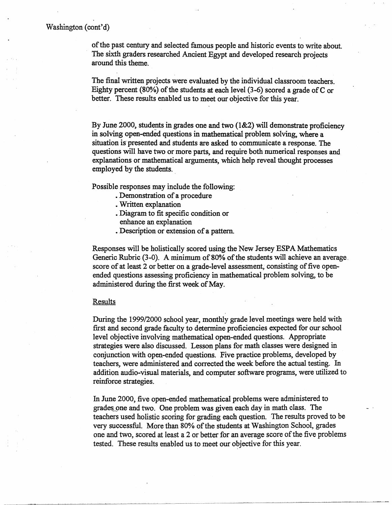of the past century and selected famous people and historic events to write about. The sixth graders researched Ancient Egypt and developed research projects around this theme.

The final written projects were evaluated by the individual classroom teachers. Eighty percent (80%) of the students at each level (3-6) scored a grade ofC or better. These results enabled us to meet our objective for this year.

By June 2000, students in grades one and two  $(1&2)$  will demonstrate proficiency in solving open-ended questions in mathematical problem solving, where a situation is presented and students are asked to communicate a response. The questions will have two or more parts, and require both numerical responses and explanations or mathematical arguments, which help reveal thought processes employed by the students.

Possible responses may include the following:

- Demonstration of a procedure
- . Written explanation
- Diagram to fit specific condition or enhance an explanation
- Description or extension of a pattern.

Responses will be holistically scored using the New Jersey ESPA Mathematics Generic Rubric  $(3-0)$ . A minimum of 80% of the students will achieve an average, score of at least 2 or better on a grade-level assessment, consisting of five openended questions assessing proficiency in mathematical problem solving, to be administered during the first week of May.

### Results

During the 1999/2000 school year, monthly grade level meetings were held with first and second grade faculty to determine proficiencies expected for our school level objective involving mathematical open-ended questions. Appropriate strategies were also discussed. Lesson plans for math classes were designed in conjunction with open-ended questions. Five practice problems, developed by teachers, were administered and corrected the week before the actual testing. In addition audio-visual materials, and computer software programs, were utilized to reinforce strategies.

In June 2000, five open-ended mathematical problems were administered to grades one and two. One problem was given each day in math class. The teachers used holistic scoring for grading each question. The results proved to be very successful. More than 80% of the students at Washington School, grades one and two, scored at least a 2 or better for an average score of the five problems tested. These results enabled us to meet our objective for this year.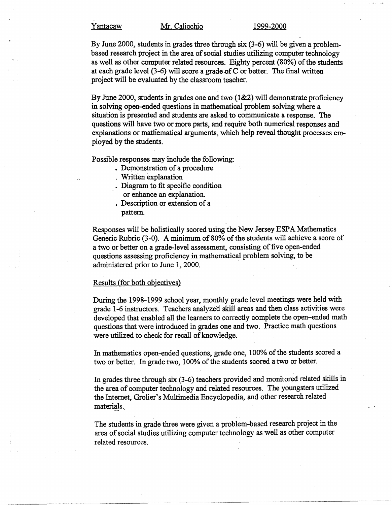By June 2000, students in grades three through six (3-6) will be given a problembased research project in the area of social studies utilizing computer technology as well as other computer related resources. Eighty percent (80%) of the students at each grade level (3-6) will score a grade of C or better. The final written project will be evaluated by the classroom teacher.

By June 2000, students in grades one and two (1&2) will demonstrate proficiency in solving open-ended questions in mathematical problem solving where a situation is presented and students are asked to communicate a response. The questions will have two or more parts, and require both numerical responses and explanations or matliematical arguments, which help reveal thought processes employed by the students.

Possible responses may include the following:

- Demonstration of a procedure
- . Written explanation
- Diagram to fit specific condition or enhance an explanation.
- Description or extension of a pattern.

Responses will be holistically scored using the New Jersey ESPA Mathematics Generic Rubric (3-0). A minimum of 80% of the students will achieve a score of a two or better on a grade-level assessment, consisting of five open-ended questions **assessing** proficiency in mathematical problem solving, to be administered prior to June 1, 2000.

# Results (for both objectives)

During the 1998-1999 school year, monthly grade level meetings were held with grade 1-6 instructors. Teachers analyzed skill areas and then class activities were developed that enabled all the learners to correctly complete the open-ended math questions that were introduced in grades one and two. Practice math questions were utilized to check for recall of knowledge.

In mathematics open-ended questions, grade one, 100% of the students scored a two or better. In grade two, 100% of the students scored a two or better.

In grades three through six (3-6) teachers provided and monitored related skills in the area of computer technology and related resources. The youngsters utilized the Internet, Grolier's Multimedia Encyclopedia, and other research related materials ..

The students in grade three were given a problem-based research project in the area of social studies utilizing computer technology as well as other computer related resources.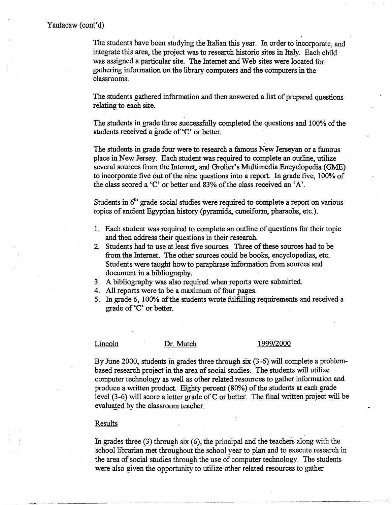The students have been studying the Italian this year. In order to incorporate, and integrate this area, the project was to research historic sites in Italy. Each child was assigned a particular site. The Internet and Web sites were located for gathering information on the library computers and the computers in the classrooms.

The students gathered information and then answered a list of prepared questions relating to each site.

The students in grade three successfully completed the questions and 100% of the students received a grade of 'C' or better.

The students in grade four were to research a famous New Jerseyan or a famous· place in New Jersey. Each student was required to complete an outline, utilize several sources from the Internet, and Grolier's Multimedia Encyclopedia (GME) to incorporate five out of the nine questions into a report. In grade five, 100% of the class scored a 'C' or better and 83% of the class received an 'A'.

Students in  $6<sup>th</sup>$  grade social studies were required to complete a report on various topics of ancient Egyptian history (pyramids, cuneiform, pharaohs, etc.).

- 1. Each student was required to complete an outline of questions for their topic and then address their questions in their research.
- 2. Students had to use at least five sources. Three of these sources had to be from the Internet. The other sources could be books, encyclopedias, etc. Students were taught how to paraphrase information from sources and document in a bibliography.
- 3. A bibliography was also required when reports were submitted.
- 4. All reports were to be a maximum of four pages.
- 5. In grade 6, 100% of the students wrote fulfilling requirements and received a grade of 'C' or better.

## Lincoln Dr. Mutch 1999/2000

By June 2000, students in grades three through six (3-6) will complete a problembased research project in the area of social studies. The students will utilize computer technology as well as other related resources to gather information and produce a written product. Eighty percent (800/4) of the students at each grade level (3-6) will score a letter grade of C or better. The final written project will be evaluated by the classroom teacher.

### Results

In grades three (3) through six (6), the principal and the teachers along with the school librarian met throughout the school year to plan and to execute research in the area of social studies through the use of computer technology. The students were also given the opportunity to utilize other related resources to gather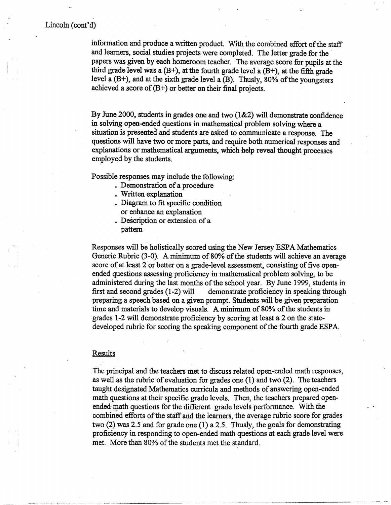# Lincoln (cont'd)

information and produce a written product. With the combined effort of the staff and learners, social studies projects were completed. The letter grade for the papers was given by each homeroom teacher. The average score for pupils at the third grade level was a  $(B<sup>+</sup>)$ , at the fourth grade level a  $(B<sup>+</sup>)$ , at the fifth grade level a  $(B<sup>+</sup>)$ , and at the sixth grade level a  $(B)$ . Thusly, 80% of the youngsters achieved a score of  $(B<sup>+</sup>)$  or better on their final projects.

By June 2000, students in grades one and two (1&2) will demonstrate confidence in solving open-ended questions in mathematical problem solving where a situation is presented and students are asked to communicate a response. The questions will have two or more parts, and require both numerical responses and explanations or mathematical arguments, which help reveal thought processes employed by the students.

Possible responses may include the following:

- Demonstration of a procedure
- Written explanation
- Diagram to fit specific condition or enhance an explanation
- Description or extension of a pattern·

Responses will be holistically scored using the New Jersey ESPAMathematics Generic Rubric (3-0). A minimum of 80% of the students will achieve an average score of at least 2 or better on a grade-level assessment, consisting of five openended questions assessing proficiency in mathematical problem solving, to be administered during the last months of the school year. By June 1999, students in first and second grades (1-2) will demonstrate proficiency in speaking through preparing a speech based on a given prompt. Students will be given preparation time and materials to develop visuals. A minimum of 80% of the students in grades 1-2 will demonstrate proficiency by scoring at least a 2 on the statedeveloped rubric for scoring the speaking component of the fourth grade ESPA.

### **Results**

The principal and the teachers met to discuss related open-ended math responses, as well as the rubric of evaluation for grades one (1) and two (2). The teachers taught designated Mathematics curricula and methods of answering open-ended math questions at their specific grade levels. Then, the teachers prepared openended math questions for the different grade levels performance. With the combined efforts of the staff and the learners, the average rubric score for grades two  $(2)$  was 2.5 and for grade one  $(1)$  a 2.5. Thusly, the goals for demonstrating proficiency in responding to open-ended math questions at each grade level were met. More than 80% of the students met the standard.